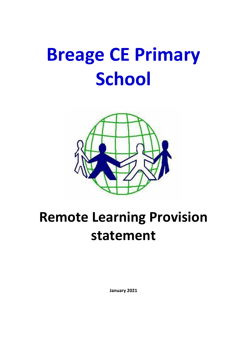# **Breage CE Primary School**



# **Remote Learning Provision statement**

**January 2021**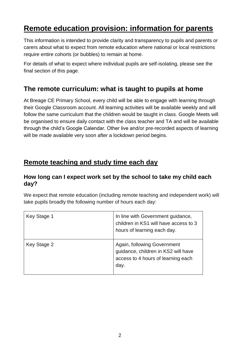# **Remote education provision: information for parents**

This information is intended to provide clarity and transparency to pupils and parents or carers about what to expect from remote education where national or local restrictions require entire cohorts (or bubbles) to remain at home.

For details of what to expect where individual pupils are self-isolating, please see the final section of this page.

## **The remote curriculum: what is taught to pupils at home**

At Breage CE Primary School, every child will be able to engage with learning through their Google Classroom account. All learning activities will be available weekly and will follow the same curriculum that the children would be taught in class. Google Meets will be organised to ensure daily contact with the class teacher and TA and will be available through the child's Google Calendar. Other live and/or pre-recorded aspects of learning will be made available very soon after a lockdown period begins.

## **Remote teaching and study time each day**

#### **How long can I expect work set by the school to take my child each day?**

We expect that remote education (including remote teaching and independent work) will take pupils broadly the following number of hours each day:

| Key Stage 1 | In line with Government guidance,<br>children in KS1 will have access to 3<br>hours of learning each day.        |
|-------------|------------------------------------------------------------------------------------------------------------------|
| Key Stage 2 | Again, following Government<br>guidance, children in KS2 will have<br>access to 4 hours of learning each<br>day. |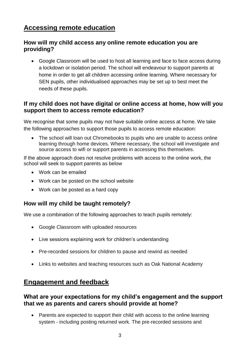# **Accessing remote education**

#### **How will my child access any online remote education you are providing?**

• Google Classroom will be used to host all learning and face to face access during a lockdown or isolation period. The school will endeavour to support parents at home in order to get all children accessing online learning. Where necessary for SEN pupils, other individualised approaches may be set up to best meet the needs of these pupils.

#### **If my child does not have digital or online access at home, how will you support them to access remote education?**

We recognise that some pupils may not have suitable online access at home. We take the following approaches to support those pupils to access remote education:

• The school will loan out Chromebooks to pupils who are unable to access online learning through home devices. Where necessary, the school will investigate and source access to wifi or support parents in accessing this themselves.

If the above approach does not resolve problems with access to the online work, the school will seek to support parents as below

- Work can be emailed
- Work can be posted on the school website
- Work can be posted as a hard copy

#### **How will my child be taught remotely?**

We use a combination of the following approaches to teach pupils remotely:

- Google Classroom with uploaded resources
- Live sessions explaining work for children's understanding
- Pre-recorded sessions for children to pause and rewind as needed
- Links to websites and teaching resources such as Oak National Academy

#### **Engagement and feedback**

#### **What are your expectations for my child's engagement and the support that we as parents and carers should provide at home?**

• Parents are expected to support their child with access to the online learning system - including posting returned work. The pre-recorded sessions and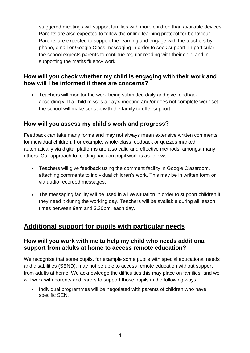staggered meetings will support families with more children than available devices. Parents are also expected to follow the online learning protocol for behaviour. Parents are expected to support the learning and engage with the teachers by phone, email or Google Class messaging in order to seek support. In particular, the school expects parents to continue regular reading with their child and in supporting the maths fluency work.

#### **How will you check whether my child is engaging with their work and how will I be informed if there are concerns?**

• Teachers will monitor the work being submitted daily and give feedback accordingly. If a child misses a day's meeting and/or does not complete work set, the school will make contact with the family to offer support.

#### **How will you assess my child's work and progress?**

Feedback can take many forms and may not always mean extensive written comments for individual children. For example, whole-class feedback or quizzes marked automatically via digital platforms are also valid and effective methods, amongst many others. Our approach to feeding back on pupil work is as follows:

- Teachers will give feedback using the comment facility in Google Classroom, attaching comments to individual children's work. This may be in written form or via audio recorded messages.
- The messaging facility will be used in a live situation in order to support children if they need it during the working day. Teachers will be available during all lesson times between 9am and 3.30pm, each day.

# **Additional support for pupils with particular needs**

#### **How will you work with me to help my child who needs additional support from adults at home to access remote education?**

We recognise that some pupils, for example some pupils with special educational needs and disabilities (SEND), may not be able to access remote education without support from adults at home. We acknowledge the difficulties this may place on families, and we will work with parents and carers to support those pupils in the following ways:

• Individual programmes will be negotiated with parents of children who have specific SEN.